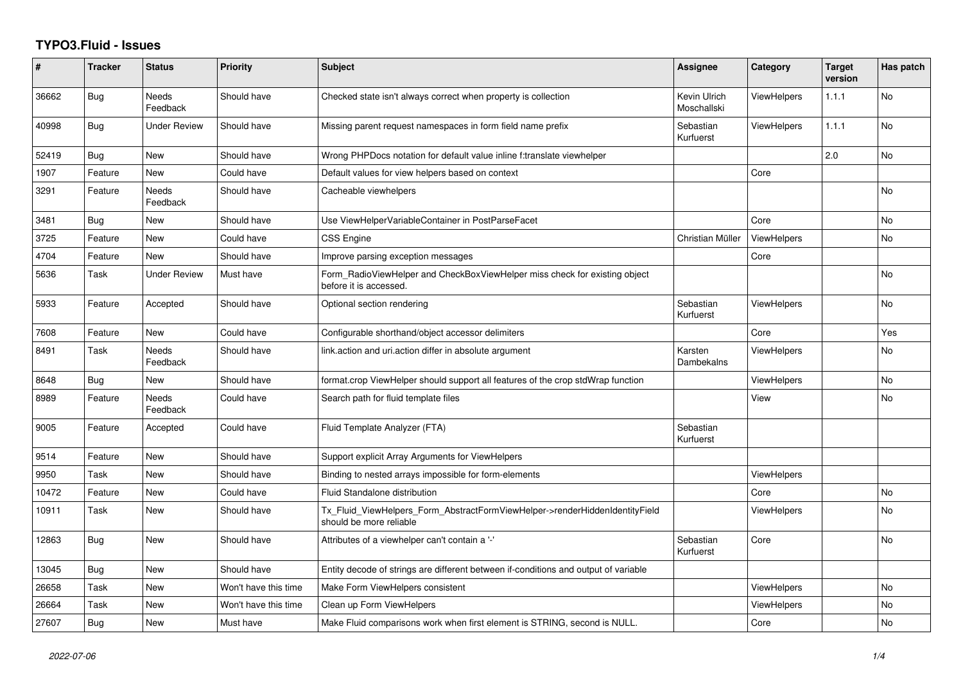## **TYPO3.Fluid - Issues**

| ∦     | <b>Tracker</b> | <b>Status</b>            | <b>Priority</b>      | <b>Subject</b>                                                                                         | <b>Assignee</b>             | Category           | <b>Target</b><br>version | Has patch |
|-------|----------------|--------------------------|----------------------|--------------------------------------------------------------------------------------------------------|-----------------------------|--------------------|--------------------------|-----------|
| 36662 | <b>Bug</b>     | <b>Needs</b><br>Feedback | Should have          | Checked state isn't always correct when property is collection                                         | Kevin Ulrich<br>Moschallski | <b>ViewHelpers</b> | 1.1.1                    | <b>No</b> |
| 40998 | <b>Bug</b>     | <b>Under Review</b>      | Should have          | Missing parent request namespaces in form field name prefix                                            | Sebastian<br>Kurfuerst      | <b>ViewHelpers</b> | 1.1.1                    | <b>No</b> |
| 52419 | <b>Bug</b>     | New                      | Should have          | Wrong PHPDocs notation for default value inline f:translate viewhelper                                 |                             |                    | 2.0                      | No        |
| 1907  | Feature        | New                      | Could have           | Default values for view helpers based on context                                                       |                             | Core               |                          |           |
| 3291  | Feature        | Needs<br>Feedback        | Should have          | Cacheable viewhelpers                                                                                  |                             |                    |                          | <b>No</b> |
| 3481  | Bug            | New                      | Should have          | Use ViewHelperVariableContainer in PostParseFacet                                                      |                             | Core               |                          | <b>No</b> |
| 3725  | Feature        | <b>New</b>               | Could have           | <b>CSS Engine</b>                                                                                      | Christian Müller            | ViewHelpers        |                          | <b>No</b> |
| 4704  | Feature        | New                      | Should have          | Improve parsing exception messages                                                                     |                             | Core               |                          |           |
| 5636  | Task           | <b>Under Review</b>      | Must have            | Form RadioViewHelper and CheckBoxViewHelper miss check for existing object<br>before it is accessed.   |                             |                    |                          | No        |
| 5933  | Feature        | Accepted                 | Should have          | Optional section rendering                                                                             | Sebastian<br>Kurfuerst      | <b>ViewHelpers</b> |                          | <b>No</b> |
| 7608  | Feature        | New                      | Could have           | Configurable shorthand/object accessor delimiters                                                      |                             | Core               |                          | Yes       |
| 8491  | Task           | <b>Needs</b><br>Feedback | Should have          | link.action and uri.action differ in absolute argument                                                 | Karsten<br>Dambekalns       | <b>ViewHelpers</b> |                          | <b>No</b> |
| 8648  | Bug            | New                      | Should have          | format.crop ViewHelper should support all features of the crop stdWrap function                        |                             | <b>ViewHelpers</b> |                          | <b>No</b> |
| 8989  | Feature        | Needs<br>Feedback        | Could have           | Search path for fluid template files                                                                   |                             | View               |                          | No.       |
| 9005  | Feature        | Accepted                 | Could have           | Fluid Template Analyzer (FTA)                                                                          | Sebastian<br>Kurfuerst      |                    |                          |           |
| 9514  | Feature        | New                      | Should have          | Support explicit Array Arguments for ViewHelpers                                                       |                             |                    |                          |           |
| 9950  | Task           | New                      | Should have          | Binding to nested arrays impossible for form-elements                                                  |                             | <b>ViewHelpers</b> |                          |           |
| 10472 | Feature        | <b>New</b>               | Could have           | Fluid Standalone distribution                                                                          |                             | Core               |                          | <b>No</b> |
| 10911 | Task           | New                      | Should have          | Tx_Fluid_ViewHelpers_Form_AbstractFormViewHelper->renderHiddenIdentityField<br>should be more reliable |                             | <b>ViewHelpers</b> |                          | <b>No</b> |
| 12863 | Bug            | New                      | Should have          | Attributes of a viewhelper can't contain a '-'                                                         | Sebastian<br>Kurfuerst      | Core               |                          | <b>No</b> |
| 13045 | <b>Bug</b>     | <b>New</b>               | Should have          | Entity decode of strings are different between if-conditions and output of variable                    |                             |                    |                          |           |
| 26658 | Task           | New                      | Won't have this time | Make Form ViewHelpers consistent                                                                       |                             | <b>ViewHelpers</b> |                          | No        |
| 26664 | Task           | <b>New</b>               | Won't have this time | Clean up Form ViewHelpers                                                                              |                             | <b>ViewHelpers</b> |                          | No        |
| 27607 | Bug            | New                      | Must have            | Make Fluid comparisons work when first element is STRING, second is NULL.                              |                             | Core               |                          | <b>No</b> |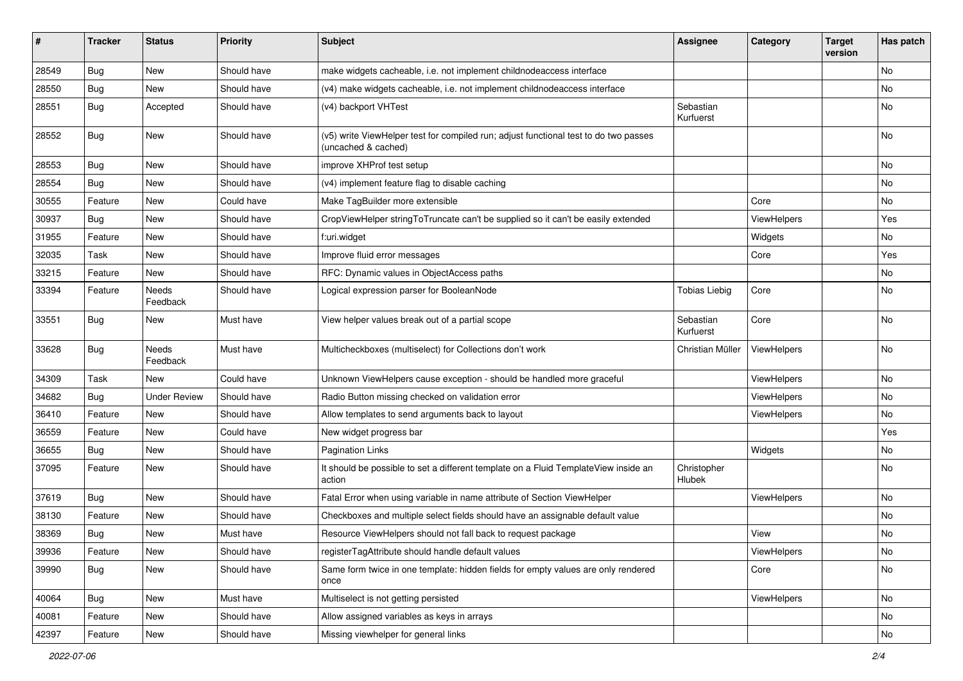| #     | <b>Tracker</b> | <b>Status</b>            | <b>Priority</b> | Subject                                                                                                     | <b>Assignee</b>        | Category    | <b>Target</b><br>version | Has patch |
|-------|----------------|--------------------------|-----------------|-------------------------------------------------------------------------------------------------------------|------------------------|-------------|--------------------------|-----------|
| 28549 | Bug            | New                      | Should have     | make widgets cacheable, i.e. not implement childnodeaccess interface                                        |                        |             |                          | <b>No</b> |
| 28550 | Bug            | New                      | Should have     | (v4) make widgets cacheable, i.e. not implement childnodeaccess interface                                   |                        |             |                          | No        |
| 28551 | Bug            | Accepted                 | Should have     | (v4) backport VHTest                                                                                        | Sebastian<br>Kurfuerst |             |                          | No        |
| 28552 | Bug            | <b>New</b>               | Should have     | (v5) write ViewHelper test for compiled run; adjust functional test to do two passes<br>(uncached & cached) |                        |             |                          | <b>No</b> |
| 28553 | Bug            | <b>New</b>               | Should have     | improve XHProf test setup                                                                                   |                        |             |                          | No        |
| 28554 | Bug            | <b>New</b>               | Should have     | (v4) implement feature flag to disable caching                                                              |                        |             |                          | No        |
| 30555 | Feature        | <b>New</b>               | Could have      | Make TagBuilder more extensible                                                                             |                        | Core        |                          | No        |
| 30937 | Bug            | New                      | Should have     | CropViewHelper stringToTruncate can't be supplied so it can't be easily extended                            |                        | ViewHelpers |                          | Yes       |
| 31955 | Feature        | New                      | Should have     | f:uri.widget                                                                                                |                        | Widgets     |                          | No        |
| 32035 | Task           | <b>New</b>               | Should have     | Improve fluid error messages                                                                                |                        | Core        |                          | Yes       |
| 33215 | Feature        | <b>New</b>               | Should have     | RFC: Dynamic values in ObjectAccess paths                                                                   |                        |             |                          | No        |
| 33394 | Feature        | <b>Needs</b><br>Feedback | Should have     | Logical expression parser for BooleanNode                                                                   | <b>Tobias Liebig</b>   | Core        |                          | <b>No</b> |
| 33551 | Bug            | New                      | Must have       | View helper values break out of a partial scope                                                             | Sebastian<br>Kurfuerst | Core        |                          | <b>No</b> |
| 33628 | Bug            | Needs<br>Feedback        | Must have       | Multicheckboxes (multiselect) for Collections don't work                                                    | Christian Müller       | ViewHelpers |                          | <b>No</b> |
| 34309 | Task           | New                      | Could have      | Unknown ViewHelpers cause exception - should be handled more graceful                                       |                        | ViewHelpers |                          | <b>No</b> |
| 34682 | Bug            | <b>Under Review</b>      | Should have     | Radio Button missing checked on validation error                                                            |                        | ViewHelpers |                          | No        |
| 36410 | Feature        | <b>New</b>               | Should have     | Allow templates to send arguments back to layout                                                            |                        | ViewHelpers |                          | No        |
| 36559 | Feature        | New                      | Could have      | New widget progress bar                                                                                     |                        |             |                          | Yes       |
| 36655 | Bug            | New                      | Should have     | <b>Pagination Links</b>                                                                                     |                        | Widgets     |                          | No        |
| 37095 | Feature        | New                      | Should have     | It should be possible to set a different template on a Fluid TemplateView inside an<br>action               | Christopher<br>Hlubek  |             |                          | No        |
| 37619 | Bug            | <b>New</b>               | Should have     | Fatal Error when using variable in name attribute of Section ViewHelper                                     |                        | ViewHelpers |                          | No        |
| 38130 | Feature        | New                      | Should have     | Checkboxes and multiple select fields should have an assignable default value                               |                        |             |                          | No        |
| 38369 | Bug            | New                      | Must have       | Resource ViewHelpers should not fall back to request package                                                |                        | View        |                          | No        |
| 39936 | Feature        | New                      | Should have     | registerTagAttribute should handle default values                                                           |                        | ViewHelpers |                          | No        |
| 39990 | <b>Bug</b>     | New                      | Should have     | Same form twice in one template: hidden fields for empty values are only rendered<br>once                   |                        | Core        |                          | No        |
| 40064 | <b>Bug</b>     | New                      | Must have       | Multiselect is not getting persisted                                                                        |                        | ViewHelpers |                          | No        |
| 40081 | Feature        | New                      | Should have     | Allow assigned variables as keys in arrays                                                                  |                        |             |                          | No        |
| 42397 | Feature        | New                      | Should have     | Missing viewhelper for general links                                                                        |                        |             |                          | No        |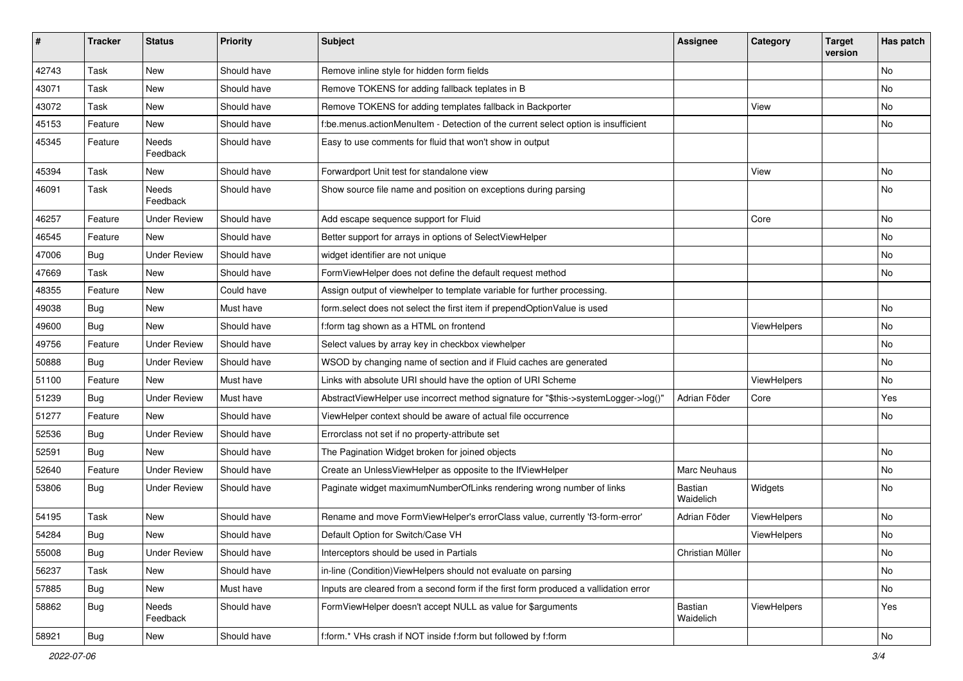| #     | <b>Tracker</b> | <b>Status</b>       | <b>Priority</b> | <b>Subject</b>                                                                       | Assignee             | Category    | <b>Target</b><br>version | Has patch     |
|-------|----------------|---------------------|-----------------|--------------------------------------------------------------------------------------|----------------------|-------------|--------------------------|---------------|
| 42743 | Task           | New                 | Should have     | Remove inline style for hidden form fields                                           |                      |             |                          | <b>No</b>     |
| 43071 | Task           | New                 | Should have     | Remove TOKENS for adding fallback teplates in B                                      |                      |             |                          | No            |
| 43072 | Task           | New                 | Should have     | Remove TOKENS for adding templates fallback in Backporter                            |                      | View        |                          | No            |
| 45153 | Feature        | <b>New</b>          | Should have     | f:be.menus.actionMenuItem - Detection of the current select option is insufficient   |                      |             |                          | No            |
| 45345 | Feature        | Needs<br>Feedback   | Should have     | Easy to use comments for fluid that won't show in output                             |                      |             |                          |               |
| 45394 | Task           | New                 | Should have     | Forwardport Unit test for standalone view                                            |                      | View        |                          | No            |
| 46091 | Task           | Needs<br>Feedback   | Should have     | Show source file name and position on exceptions during parsing                      |                      |             |                          | No            |
| 46257 | Feature        | <b>Under Review</b> | Should have     | Add escape sequence support for Fluid                                                |                      | Core        |                          | No            |
| 46545 | Feature        | New                 | Should have     | Better support for arrays in options of SelectViewHelper                             |                      |             |                          | No            |
| 47006 | Bug            | <b>Under Review</b> | Should have     | widget identifier are not unique                                                     |                      |             |                          | No            |
| 47669 | Task           | New                 | Should have     | FormViewHelper does not define the default request method                            |                      |             |                          | No            |
| 48355 | Feature        | New                 | Could have      | Assign output of viewhelper to template variable for further processing.             |                      |             |                          |               |
| 49038 | <b>Bug</b>     | New                 | Must have       | form.select does not select the first item if prependOptionValue is used             |                      |             |                          | No            |
| 49600 | Bug            | <b>New</b>          | Should have     | f:form tag shown as a HTML on frontend                                               |                      | ViewHelpers |                          | No            |
| 49756 | Feature        | <b>Under Review</b> | Should have     | Select values by array key in checkbox viewhelper                                    |                      |             |                          | No            |
| 50888 | Bug            | <b>Under Review</b> | Should have     | WSOD by changing name of section and if Fluid caches are generated                   |                      |             |                          | No            |
| 51100 | Feature        | <b>New</b>          | Must have       | Links with absolute URI should have the option of URI Scheme                         |                      | ViewHelpers |                          | No            |
| 51239 | Bug            | <b>Under Review</b> | Must have       | AbstractViewHelper use incorrect method signature for "\$this->systemLogger->log()"  | Adrian Föder         | Core        |                          | Yes           |
| 51277 | Feature        | <b>New</b>          | Should have     | ViewHelper context should be aware of actual file occurrence                         |                      |             |                          | No            |
| 52536 | Bug            | <b>Under Review</b> | Should have     | Errorclass not set if no property-attribute set                                      |                      |             |                          |               |
| 52591 | Bug            | New                 | Should have     | The Pagination Widget broken for joined objects                                      |                      |             |                          | No            |
| 52640 | Feature        | <b>Under Review</b> | Should have     | Create an UnlessViewHelper as opposite to the IfViewHelper                           | Marc Neuhaus         |             |                          | No            |
| 53806 | Bug            | <b>Under Review</b> | Should have     | Paginate widget maximumNumberOfLinks rendering wrong number of links                 | Bastian<br>Waidelich | Widgets     |                          | No            |
| 54195 | Task           | <b>New</b>          | Should have     | Rename and move FormViewHelper's errorClass value, currently 'f3-form-error'         | Adrian Föder         | ViewHelpers |                          | No            |
| 54284 | <b>Bug</b>     | New                 | Should have     | Default Option for Switch/Case VH                                                    |                      | ViewHelpers |                          | No            |
| 55008 | <b>Bug</b>     | <b>Under Review</b> | Should have     | Interceptors should be used in Partials                                              | Christian Müller     |             |                          | No            |
| 56237 | Task           | New                 | Should have     | in-line (Condition) View Helpers should not evaluate on parsing                      |                      |             |                          | No            |
| 57885 | <b>Bug</b>     | New                 | Must have       | Inputs are cleared from a second form if the first form produced a vallidation error |                      |             |                          | No            |
| 58862 | Bug            | Needs<br>Feedback   | Should have     | FormViewHelper doesn't accept NULL as value for \$arguments                          | Bastian<br>Waidelich | ViewHelpers |                          | Yes           |
| 58921 | <b>Bug</b>     | New                 | Should have     | f:form.* VHs crash if NOT inside f:form but followed by f:form                       |                      |             |                          | $\mathsf{No}$ |